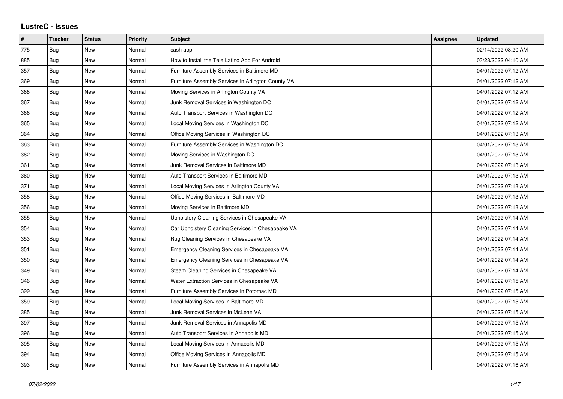## **LustreC - Issues**

| #   | <b>Tracker</b> | <b>Status</b> | <b>Priority</b> | <b>Subject</b>                                     | Assignee | <b>Updated</b>      |
|-----|----------------|---------------|-----------------|----------------------------------------------------|----------|---------------------|
| 775 | Bug            | New           | Normal          | cash app                                           |          | 02/14/2022 08:20 AM |
| 885 | Bug            | <b>New</b>    | Normal          | How to Install the Tele Latino App For Android     |          | 03/28/2022 04:10 AM |
| 357 | Bug            | <b>New</b>    | Normal          | Furniture Assembly Services in Baltimore MD        |          | 04/01/2022 07:12 AM |
| 369 | <b>Bug</b>     | New           | Normal          | Furniture Assembly Services in Arlington County VA |          | 04/01/2022 07:12 AM |
| 368 | Bug            | New           | Normal          | Moving Services in Arlington County VA             |          | 04/01/2022 07:12 AM |
| 367 | Bug            | <b>New</b>    | Normal          | Junk Removal Services in Washington DC             |          | 04/01/2022 07:12 AM |
| 366 | <b>Bug</b>     | New           | Normal          | Auto Transport Services in Washington DC           |          | 04/01/2022 07:12 AM |
| 365 | Bug            | <b>New</b>    | Normal          | Local Moving Services in Washington DC             |          | 04/01/2022 07:12 AM |
| 364 | <b>Bug</b>     | New           | Normal          | Office Moving Services in Washington DC            |          | 04/01/2022 07:13 AM |
| 363 | Bug            | <b>New</b>    | Normal          | Furniture Assembly Services in Washington DC       |          | 04/01/2022 07:13 AM |
| 362 | Bug            | <b>New</b>    | Normal          | Moving Services in Washington DC                   |          | 04/01/2022 07:13 AM |
| 361 | <b>Bug</b>     | New           | Normal          | Junk Removal Services in Baltimore MD              |          | 04/01/2022 07:13 AM |
| 360 | Bug            | <b>New</b>    | Normal          | Auto Transport Services in Baltimore MD            |          | 04/01/2022 07:13 AM |
| 371 | Bug            | <b>New</b>    | Normal          | Local Moving Services in Arlington County VA       |          | 04/01/2022 07:13 AM |
| 358 | Bug            | New           | Normal          | Office Moving Services in Baltimore MD             |          | 04/01/2022 07:13 AM |
| 356 | <b>Bug</b>     | New           | Normal          | Moving Services in Baltimore MD                    |          | 04/01/2022 07:13 AM |
| 355 | Bug            | New           | Normal          | Upholstery Cleaning Services in Chesapeake VA      |          | 04/01/2022 07:14 AM |
| 354 | Bug            | <b>New</b>    | Normal          | Car Upholstery Cleaning Services in Chesapeake VA  |          | 04/01/2022 07:14 AM |
| 353 | Bug            | <b>New</b>    | Normal          | Rug Cleaning Services in Chesapeake VA             |          | 04/01/2022 07:14 AM |
| 351 | Bug            | New           | Normal          | Emergency Cleaning Services in Chesapeake VA       |          | 04/01/2022 07:14 AM |
| 350 | Bug            | New           | Normal          | Emergency Cleaning Services in Chesapeake VA       |          | 04/01/2022 07:14 AM |
| 349 | Bug            | <b>New</b>    | Normal          | Steam Cleaning Services in Chesapeake VA           |          | 04/01/2022 07:14 AM |
| 346 | Bug            | New           | Normal          | Water Extraction Services in Chesapeake VA         |          | 04/01/2022 07:15 AM |
| 399 | Bug            | New           | Normal          | Furniture Assembly Services in Potomac MD          |          | 04/01/2022 07:15 AM |
| 359 | Bug            | <b>New</b>    | Normal          | Local Moving Services in Baltimore MD              |          | 04/01/2022 07:15 AM |
| 385 | Bug            | <b>New</b>    | Normal          | Junk Removal Services in McLean VA                 |          | 04/01/2022 07:15 AM |
| 397 | Bug            | New           | Normal          | Junk Removal Services in Annapolis MD              |          | 04/01/2022 07:15 AM |
| 396 | Bug            | New           | Normal          | Auto Transport Services in Annapolis MD            |          | 04/01/2022 07:15 AM |
| 395 | Bug            | New           | Normal          | Local Moving Services in Annapolis MD              |          | 04/01/2022 07:15 AM |
| 394 | Bug            | New           | Normal          | Office Moving Services in Annapolis MD             |          | 04/01/2022 07:15 AM |
| 393 | Bug            | <b>New</b>    | Normal          | Furniture Assembly Services in Annapolis MD        |          | 04/01/2022 07:16 AM |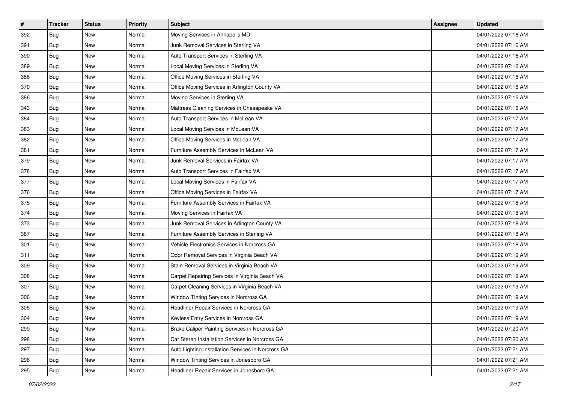| $\sharp$ | <b>Tracker</b> | <b>Status</b> | <b>Priority</b> | <b>Subject</b>                                     | <b>Assignee</b> | <b>Updated</b>      |
|----------|----------------|---------------|-----------------|----------------------------------------------------|-----------------|---------------------|
| 392      | Bug            | New           | Normal          | Moving Services in Annapolis MD                    |                 | 04/01/2022 07:16 AM |
| 391      | <b>Bug</b>     | New           | Normal          | Junk Removal Services in Sterling VA               |                 | 04/01/2022 07:16 AM |
| 390      | Bug            | New           | Normal          | Auto Transport Services in Sterling VA             |                 | 04/01/2022 07:16 AM |
| 389      | Bug            | <b>New</b>    | Normal          | Local Moving Services in Sterling VA               |                 | 04/01/2022 07:16 AM |
| 388      | Bug            | <b>New</b>    | Normal          | Office Moving Services in Sterling VA              |                 | 04/01/2022 07:16 AM |
| 370      | Bug            | <b>New</b>    | Normal          | Office Moving Services in Arlington County VA      |                 | 04/01/2022 07:16 AM |
| 386      | Bug            | New           | Normal          | Moving Services in Sterling VA                     |                 | 04/01/2022 07:16 AM |
| 343      | Bug            | New           | Normal          | Mattress Cleaning Services in Chesapeake VA        |                 | 04/01/2022 07:16 AM |
| 384      | Bug            | New           | Normal          | Auto Transport Services in McLean VA               |                 | 04/01/2022 07:17 AM |
| 383      | Bug            | <b>New</b>    | Normal          | Local Moving Services in McLean VA                 |                 | 04/01/2022 07:17 AM |
| 382      | <b>Bug</b>     | New           | Normal          | Office Moving Services in McLean VA                |                 | 04/01/2022 07:17 AM |
| 381      | Bug            | New           | Normal          | Furniture Assembly Services in McLean VA           |                 | 04/01/2022 07:17 AM |
| 379      | Bug            | <b>New</b>    | Normal          | Junk Removal Services in Fairfax VA                |                 | 04/01/2022 07:17 AM |
| 378      | Bug            | New           | Normal          | Auto Transport Services in Fairfax VA              |                 | 04/01/2022 07:17 AM |
| 377      | Bug            | <b>New</b>    | Normal          | Local Moving Services in Fairfax VA                |                 | 04/01/2022 07:17 AM |
| 376      | Bug            | New           | Normal          | Office Moving Services in Fairfax VA               |                 | 04/01/2022 07:17 AM |
| 375      | Bug            | <b>New</b>    | Normal          | Furniture Assembly Services in Fairfax VA          |                 | 04/01/2022 07:18 AM |
| 374      | Bug            | <b>New</b>    | Normal          | Moving Services in Fairfax VA                      |                 | 04/01/2022 07:18 AM |
| 373      | <b>Bug</b>     | New           | Normal          | Junk Removal Services in Arlington County VA       |                 | 04/01/2022 07:18 AM |
| 387      | Bug            | New           | Normal          | Furniture Assembly Services in Sterling VA         |                 | 04/01/2022 07:18 AM |
| 301      | Bug            | New           | Normal          | Vehicle Electronics Services in Norcross GA        |                 | 04/01/2022 07:18 AM |
| 311      | Bug            | New           | Normal          | Odor Removal Services in Virginia Beach VA         |                 | 04/01/2022 07:19 AM |
| 309      | Bug            | <b>New</b>    | Normal          | Stain Removal Services in Virginia Beach VA        |                 | 04/01/2022 07:19 AM |
| 308      | <b>Bug</b>     | New           | Normal          | Carpet Repairing Services in Virginia Beach VA     |                 | 04/01/2022 07:19 AM |
| 307      | Bug            | New           | Normal          | Carpet Cleaning Services in Virginia Beach VA      |                 | 04/01/2022 07:19 AM |
| 306      | Bug            | New           | Normal          | Window Tinting Services in Norcross GA             |                 | 04/01/2022 07:19 AM |
| 305      | <b>Bug</b>     | New           | Normal          | Headliner Repair Services in Norcross GA           |                 | 04/01/2022 07:19 AM |
| 304      | <b>Bug</b>     | New           | Normal          | Keyless Entry Services in Norcross GA              |                 | 04/01/2022 07:19 AM |
| 299      | Bug            | New           | Normal          | Brake Caliper Painting Services in Norcross GA     |                 | 04/01/2022 07:20 AM |
| 298      | Bug            | New           | Normal          | Car Stereo Installation Services in Norcross GA    |                 | 04/01/2022 07:20 AM |
| 297      | Bug            | New           | Normal          | Auto Lighting Installation Services in Norcross GA |                 | 04/01/2022 07:21 AM |
| 296      | Bug            | New           | Normal          | Window Tinting Services in Jonesboro GA            |                 | 04/01/2022 07:21 AM |
| 295      | <b>Bug</b>     | New           | Normal          | Headliner Repair Services in Jonesboro GA          |                 | 04/01/2022 07:21 AM |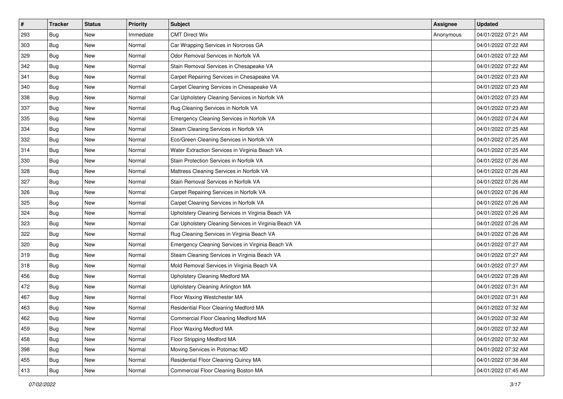| $\vert$ # | <b>Tracker</b> | <b>Status</b> | <b>Priority</b> | <b>Subject</b>                                        | <b>Assignee</b> | <b>Updated</b>      |
|-----------|----------------|---------------|-----------------|-------------------------------------------------------|-----------------|---------------------|
| 293       | Bug            | New           | Immediate       | <b>CMT Direct Wix</b>                                 | Anonymous       | 04/01/2022 07:21 AM |
| 303       | Bug            | <b>New</b>    | Normal          | Car Wrapping Services in Norcross GA                  |                 | 04/01/2022 07:22 AM |
| 329       | <b>Bug</b>     | New           | Normal          | Odor Removal Services in Norfolk VA                   |                 | 04/01/2022 07:22 AM |
| 342       | Bug            | <b>New</b>    | Normal          | Stain Removal Services in Chesapeake VA               |                 | 04/01/2022 07:22 AM |
| 341       | <b>Bug</b>     | <b>New</b>    | Normal          | Carpet Repairing Services in Chesapeake VA            |                 | 04/01/2022 07:23 AM |
| 340       | Bug            | New           | Normal          | Carpet Cleaning Services in Chesapeake VA             |                 | 04/01/2022 07:23 AM |
| 338       | Bug            | <b>New</b>    | Normal          | Car Upholstery Cleaning Services in Norfolk VA        |                 | 04/01/2022 07:23 AM |
| 337       | Bug            | New           | Normal          | Rug Cleaning Services in Norfolk VA                   |                 | 04/01/2022 07:23 AM |
| 335       | Bug            | New           | Normal          | Emergency Cleaning Services in Norfolk VA             |                 | 04/01/2022 07:24 AM |
| 334       | Bug            | <b>New</b>    | Normal          | Steam Cleaning Services in Norfolk VA                 |                 | 04/01/2022 07:25 AM |
| 332       | Bug            | New           | Normal          | Eco/Green Cleaning Services in Norfolk VA             |                 | 04/01/2022 07:25 AM |
| 314       | Bug            | New           | Normal          | Water Extraction Services in Virginia Beach VA        |                 | 04/01/2022 07:25 AM |
| 330       | <b>Bug</b>     | <b>New</b>    | Normal          | Stain Protection Services in Norfolk VA               |                 | 04/01/2022 07:26 AM |
| 328       | Bug            | New           | Normal          | Mattress Cleaning Services in Norfolk VA              |                 | 04/01/2022 07:26 AM |
| 327       | Bug            | <b>New</b>    | Normal          | Stain Removal Services in Norfolk VA                  |                 | 04/01/2022 07:26 AM |
| 326       | <b>Bug</b>     | New           | Normal          | Carpet Repairing Services in Norfolk VA               |                 | 04/01/2022 07:26 AM |
| 325       | Bug            | <b>New</b>    | Normal          | Carpet Cleaning Services in Norfolk VA                |                 | 04/01/2022 07:26 AM |
| 324       | <b>Bug</b>     | <b>New</b>    | Normal          | Upholstery Cleaning Services in Virginia Beach VA     |                 | 04/01/2022 07:26 AM |
| 323       | Bug            | New           | Normal          | Car Upholstery Cleaning Services in Virginia Beach VA |                 | 04/01/2022 07:26 AM |
| 322       | Bug            | <b>New</b>    | Normal          | Rug Cleaning Services in Virginia Beach VA            |                 | 04/01/2022 07:26 AM |
| 320       | Bug            | New           | Normal          | Emergency Cleaning Services in Virginia Beach VA      |                 | 04/01/2022 07:27 AM |
| 319       | Bug            | New           | Normal          | Steam Cleaning Services in Virginia Beach VA          |                 | 04/01/2022 07:27 AM |
| 318       | <b>Bug</b>     | <b>New</b>    | Normal          | Mold Removal Services in Virginia Beach VA            |                 | 04/01/2022 07:27 AM |
| 456       | Bug            | New           | Normal          | Upholstery Cleaning Medford MA                        |                 | 04/01/2022 07:28 AM |
| 472       | Bug            | New           | Normal          | Upholstery Cleaning Arlington MA                      |                 | 04/01/2022 07:31 AM |
| 467       | Bug            | <b>New</b>    | Normal          | Floor Waxing Westchester MA                           |                 | 04/01/2022 07:31 AM |
| 463       | Bug            | New           | Normal          | Residential Floor Cleaning Medford MA                 |                 | 04/01/2022 07:32 AM |
| 462       | <b>Bug</b>     | New           | Normal          | Commercial Floor Cleaning Medford MA                  |                 | 04/01/2022 07:32 AM |
| 459       | Bug            | New           | Normal          | Floor Waxing Medford MA                               |                 | 04/01/2022 07:32 AM |
| 458       | Bug            | New           | Normal          | Floor Stripping Medford MA                            |                 | 04/01/2022 07:32 AM |
| 398       | Bug            | New           | Normal          | Moving Services in Potomac MD                         |                 | 04/01/2022 07:32 AM |
| 455       | <b>Bug</b>     | New           | Normal          | Residential Floor Cleaning Quincy MA                  |                 | 04/01/2022 07:38 AM |
| 413       | <b>Bug</b>     | New           | Normal          | Commercial Floor Cleaning Boston MA                   |                 | 04/01/2022 07:45 AM |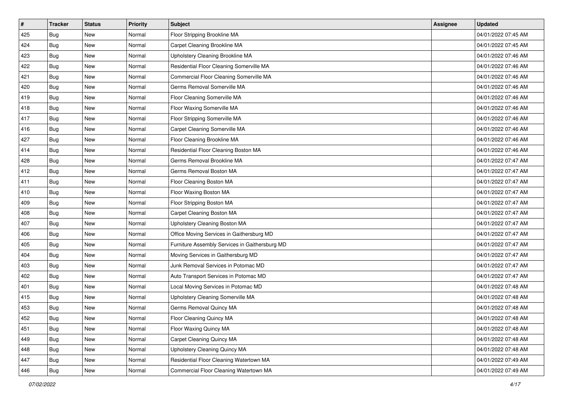| $\vert$ # | <b>Tracker</b> | <b>Status</b> | <b>Priority</b> | <b>Subject</b>                                 | <b>Assignee</b> | <b>Updated</b>      |
|-----------|----------------|---------------|-----------------|------------------------------------------------|-----------------|---------------------|
| 425       | Bug            | New           | Normal          | Floor Stripping Brookline MA                   |                 | 04/01/2022 07:45 AM |
| 424       | Bug            | New           | Normal          | Carpet Cleaning Brookline MA                   |                 | 04/01/2022 07:45 AM |
| 423       | Bug            | New           | Normal          | Upholstery Cleaning Brookline MA               |                 | 04/01/2022 07:46 AM |
| 422       | Bug            | <b>New</b>    | Normal          | Residential Floor Cleaning Somerville MA       |                 | 04/01/2022 07:46 AM |
| 421       | Bug            | <b>New</b>    | Normal          | Commercial Floor Cleaning Somerville MA        |                 | 04/01/2022 07:46 AM |
| 420       | Bug            | New           | Normal          | Germs Removal Somerville MA                    |                 | 04/01/2022 07:46 AM |
| 419       | Bug            | <b>New</b>    | Normal          | Floor Cleaning Somerville MA                   |                 | 04/01/2022 07:46 AM |
| 418       | Bug            | New           | Normal          | Floor Waxing Somerville MA                     |                 | 04/01/2022 07:46 AM |
| 417       | Bug            | <b>New</b>    | Normal          | Floor Stripping Somerville MA                  |                 | 04/01/2022 07:46 AM |
| 416       | Bug            | <b>New</b>    | Normal          | Carpet Cleaning Somerville MA                  |                 | 04/01/2022 07:46 AM |
| 427       | Bug            | New           | Normal          | Floor Cleaning Brookline MA                    |                 | 04/01/2022 07:46 AM |
| 414       | Bug            | <b>New</b>    | Normal          | Residential Floor Cleaning Boston MA           |                 | 04/01/2022 07:46 AM |
| 428       | Bug            | <b>New</b>    | Normal          | Germs Removal Brookline MA                     |                 | 04/01/2022 07:47 AM |
| 412       | Bug            | New           | Normal          | Germs Removal Boston MA                        |                 | 04/01/2022 07:47 AM |
| 411       | Bug            | <b>New</b>    | Normal          | Floor Cleaning Boston MA                       |                 | 04/01/2022 07:47 AM |
| 410       | Bug            | New           | Normal          | Floor Waxing Boston MA                         |                 | 04/01/2022 07:47 AM |
| 409       | Bug            | <b>New</b>    | Normal          | Floor Stripping Boston MA                      |                 | 04/01/2022 07:47 AM |
| 408       | Bug            | <b>New</b>    | Normal          | Carpet Cleaning Boston MA                      |                 | 04/01/2022 07:47 AM |
| 407       | Bug            | New           | Normal          | Upholstery Cleaning Boston MA                  |                 | 04/01/2022 07:47 AM |
| 406       | Bug            | <b>New</b>    | Normal          | Office Moving Services in Gaithersburg MD      |                 | 04/01/2022 07:47 AM |
| 405       | Bug            | New           | Normal          | Furniture Assembly Services in Gaithersburg MD |                 | 04/01/2022 07:47 AM |
| 404       | Bug            | <b>New</b>    | Normal          | Moving Services in Gaithersburg MD             |                 | 04/01/2022 07:47 AM |
| 403       | Bug            | <b>New</b>    | Normal          | Junk Removal Services in Potomac MD            |                 | 04/01/2022 07:47 AM |
| 402       | Bug            | New           | Normal          | Auto Transport Services in Potomac MD          |                 | 04/01/2022 07:47 AM |
| 401       | Bug            | New           | Normal          | Local Moving Services in Potomac MD            |                 | 04/01/2022 07:48 AM |
| 415       | Bug            | <b>New</b>    | Normal          | Upholstery Cleaning Somerville MA              |                 | 04/01/2022 07:48 AM |
| 453       | Bug            | New           | Normal          | Germs Removal Quincy MA                        |                 | 04/01/2022 07:48 AM |
| 452       | <b>Bug</b>     | New           | Normal          | Floor Cleaning Quincy MA                       |                 | 04/01/2022 07:48 AM |
| 451       | Bug            | New           | Normal          | Floor Waxing Quincy MA                         |                 | 04/01/2022 07:48 AM |
| 449       | Bug            | New           | Normal          | Carpet Cleaning Quincy MA                      |                 | 04/01/2022 07:48 AM |
| 448       | Bug            | New           | Normal          | Upholstery Cleaning Quincy MA                  |                 | 04/01/2022 07:48 AM |
| 447       | <b>Bug</b>     | New           | Normal          | Residential Floor Cleaning Watertown MA        |                 | 04/01/2022 07:49 AM |
| 446       | <b>Bug</b>     | New           | Normal          | Commercial Floor Cleaning Watertown MA         |                 | 04/01/2022 07:49 AM |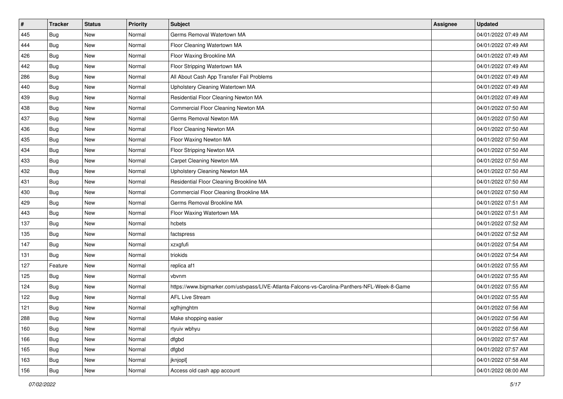| #   | <b>Tracker</b> | <b>Status</b> | Priority | <b>Subject</b>                                                                               | Assignee | <b>Updated</b>      |
|-----|----------------|---------------|----------|----------------------------------------------------------------------------------------------|----------|---------------------|
| 445 | Bug            | New           | Normal   | Germs Removal Watertown MA                                                                   |          | 04/01/2022 07:49 AM |
| 444 | Bug            | <b>New</b>    | Normal   | Floor Cleaning Watertown MA                                                                  |          | 04/01/2022 07:49 AM |
| 426 | Bug            | New           | Normal   | Floor Waxing Brookline MA                                                                    |          | 04/01/2022 07:49 AM |
| 442 | Bug            | <b>New</b>    | Normal   | Floor Stripping Watertown MA                                                                 |          | 04/01/2022 07:49 AM |
| 286 | Bug            | <b>New</b>    | Normal   | All About Cash App Transfer Fail Problems                                                    |          | 04/01/2022 07:49 AM |
| 440 | Bug            | <b>New</b>    | Normal   | Upholstery Cleaning Watertown MA                                                             |          | 04/01/2022 07:49 AM |
| 439 | Bug            | <b>New</b>    | Normal   | Residential Floor Cleaning Newton MA                                                         |          | 04/01/2022 07:49 AM |
| 438 | Bug            | New           | Normal   | Commercial Floor Cleaning Newton MA                                                          |          | 04/01/2022 07:50 AM |
| 437 | Bug            | <b>New</b>    | Normal   | Germs Removal Newton MA                                                                      |          | 04/01/2022 07:50 AM |
| 436 | Bug            | <b>New</b>    | Normal   | Floor Cleaning Newton MA                                                                     |          | 04/01/2022 07:50 AM |
| 435 | Bug            | New           | Normal   | Floor Waxing Newton MA                                                                       |          | 04/01/2022 07:50 AM |
| 434 | Bug            | <b>New</b>    | Normal   | Floor Stripping Newton MA                                                                    |          | 04/01/2022 07:50 AM |
| 433 | Bug            | <b>New</b>    | Normal   | Carpet Cleaning Newton MA                                                                    |          | 04/01/2022 07:50 AM |
| 432 | Bug            | <b>New</b>    | Normal   | Upholstery Cleaning Newton MA                                                                |          | 04/01/2022 07:50 AM |
| 431 | <b>Bug</b>     | <b>New</b>    | Normal   | Residential Floor Cleaning Brookline MA                                                      |          | 04/01/2022 07:50 AM |
| 430 | Bug            | New           | Normal   | Commercial Floor Cleaning Brookline MA                                                       |          | 04/01/2022 07:50 AM |
| 429 | Bug            | <b>New</b>    | Normal   | Germs Removal Brookline MA                                                                   |          | 04/01/2022 07:51 AM |
| 443 | Bug            | <b>New</b>    | Normal   | Floor Waxing Watertown MA                                                                    |          | 04/01/2022 07:51 AM |
| 137 | <b>Bug</b>     | New           | Normal   | hcbets                                                                                       |          | 04/01/2022 07:52 AM |
| 135 | Bug            | <b>New</b>    | Normal   | factspress                                                                                   |          | 04/01/2022 07:52 AM |
| 147 | Bug            | New           | Normal   | xzxgfufi                                                                                     |          | 04/01/2022 07:54 AM |
| 131 | Bug            | <b>New</b>    | Normal   | triokids                                                                                     |          | 04/01/2022 07:54 AM |
| 127 | Feature        | <b>New</b>    | Normal   | replica af1                                                                                  |          | 04/01/2022 07:55 AM |
| 125 | Bug            | New           | Normal   | vbvnm                                                                                        |          | 04/01/2022 07:55 AM |
| 124 | Bug            | <b>New</b>    | Normal   | https://www.bigmarker.com/ustvpass/LIVE-Atlanta-Falcons-vs-Carolina-Panthers-NFL-Week-8-Game |          | 04/01/2022 07:55 AM |
| 122 | Bug            | <b>New</b>    | Normal   | <b>AFL Live Stream</b>                                                                       |          | 04/01/2022 07:55 AM |
| 121 | <b>Bug</b>     | New           | Normal   | xgfhjmghtm                                                                                   |          | 04/01/2022 07:56 AM |
| 288 | <b>Bug</b>     | New           | Normal   | Make shopping easier                                                                         |          | 04/01/2022 07:56 AM |
| 160 | Bug            | New           | Normal   | rtyuiv wbhyu                                                                                 |          | 04/01/2022 07:56 AM |
| 166 | Bug            | New           | Normal   | dfgbd                                                                                        |          | 04/01/2022 07:57 AM |
| 165 | Bug            | New           | Normal   | dfgbd                                                                                        |          | 04/01/2022 07:57 AM |
| 163 | <b>Bug</b>     | New           | Normal   | jknjopl[                                                                                     |          | 04/01/2022 07:58 AM |
| 156 | <b>Bug</b>     | New           | Normal   | Access old cash app account                                                                  |          | 04/01/2022 08:00 AM |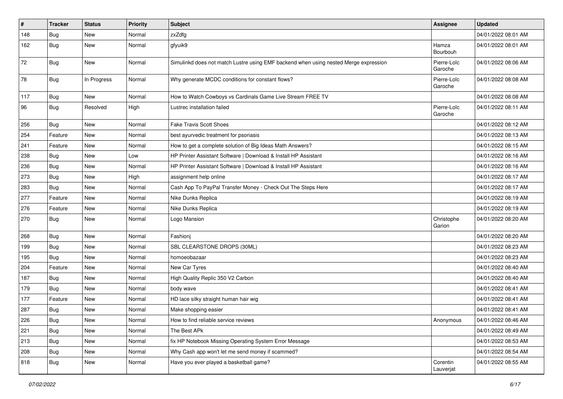| $\vert$ # | <b>Tracker</b> | <b>Status</b> | <b>Priority</b> | <b>Subject</b>                                                                       | <b>Assignee</b>        | <b>Updated</b>      |
|-----------|----------------|---------------|-----------------|--------------------------------------------------------------------------------------|------------------------|---------------------|
| 148       | <b>Bug</b>     | New           | Normal          | zxZdfg                                                                               |                        | 04/01/2022 08:01 AM |
| 162       | Bug            | <b>New</b>    | Normal          | gfyuik9                                                                              | Hamza<br>Bourbouh      | 04/01/2022 08:01 AM |
| 72        | Bug            | New           | Normal          | Simulinkd does not match Lustre using EMF backend when using nested Merge expression | Pierre-Loïc<br>Garoche | 04/01/2022 08:06 AM |
| 78        | Bug            | In Progress   | Normal          | Why generate MCDC conditions for constant flows?                                     | Pierre-Loïc<br>Garoche | 04/01/2022 08:08 AM |
| 117       | Bug            | <b>New</b>    | Normal          | How to Watch Cowboys vs Cardinals Game Live Stream FREE TV                           |                        | 04/01/2022 08:08 AM |
| 96        | Bug            | Resolved      | High            | Lustrec installation failed                                                          | Pierre-Loïc<br>Garoche | 04/01/2022 08:11 AM |
| 256       | Bug            | New           | Normal          | <b>Fake Travis Scott Shoes</b>                                                       |                        | 04/01/2022 08:12 AM |
| 254       | Feature        | <b>New</b>    | Normal          | best ayurvedic treatment for psoriasis                                               |                        | 04/01/2022 08:13 AM |
| 241       | Feature        | <b>New</b>    | Normal          | How to get a complete solution of Big Ideas Math Answers?                            |                        | 04/01/2022 08:15 AM |
| 238       | Bug            | New           | Low             | HP Printer Assistant Software   Download & Install HP Assistant                      |                        | 04/01/2022 08:16 AM |
| 236       | <b>Bug</b>     | New           | Normal          | HP Printer Assistant Software   Download & Install HP Assistant                      |                        | 04/01/2022 08:16 AM |
| 273       | Bug            | <b>New</b>    | High            | assignment help online                                                               |                        | 04/01/2022 08:17 AM |
| 283       | Bug            | <b>New</b>    | Normal          | Cash App To PayPal Transfer Money - Check Out The Steps Here                         |                        | 04/01/2022 08:17 AM |
| 277       | Feature        | <b>New</b>    | Normal          | Nike Dunks Replica                                                                   |                        | 04/01/2022 08:19 AM |
| 276       | Feature        | New           | Normal          | Nike Dunks Replica                                                                   |                        | 04/01/2022 08:19 AM |
| 270       | Bug            | New           | Normal          | Logo Mansion                                                                         | Christophe<br>Garion   | 04/01/2022 08:20 AM |
| 268       | <b>Bug</b>     | <b>New</b>    | Normal          | Fashionj                                                                             |                        | 04/01/2022 08:20 AM |
| 199       | Bug            | <b>New</b>    | Normal          | SBL CLEARSTONE DROPS (30ML)                                                          |                        | 04/01/2022 08:23 AM |
| 195       | Bug            | <b>New</b>    | Normal          | homoeobazaar                                                                         |                        | 04/01/2022 08:23 AM |
| 204       | Feature        | <b>New</b>    | Normal          | New Car Tyres                                                                        |                        | 04/01/2022 08:40 AM |
| 187       | <b>Bug</b>     | <b>New</b>    | Normal          | High Quality Replic 350 V2 Carbon                                                    |                        | 04/01/2022 08:40 AM |
| 179       | <b>Bug</b>     | New           | Normal          | body wave                                                                            |                        | 04/01/2022 08:41 AM |
| 177       | Feature        | New           | Normal          | HD lace silky straight human hair wig                                                |                        | 04/01/2022 08:41 AM |
| 287       | <b>Bug</b>     | <b>New</b>    | Normal          | Make shopping easier                                                                 |                        | 04/01/2022 08:41 AM |
| 226       | Bug            | New           | Normal          | How to find reliable service reviews                                                 | Anonymous              | 04/01/2022 08:46 AM |
| 221       | Bug            | New           | Normal          | The Best APk                                                                         |                        | 04/01/2022 08:49 AM |
| 213       | Bug            | New           | Normal          | fix HP Notebook Missing Operating System Error Message                               |                        | 04/01/2022 08:53 AM |
| 208       | Bug            | New           | Normal          | Why Cash app won't let me send money if scammed?                                     |                        | 04/01/2022 08:54 AM |
| 818       | <b>Bug</b>     | New           | Normal          | Have you ever played a basketball game?                                              | Corentin<br>Lauverjat  | 04/01/2022 08:55 AM |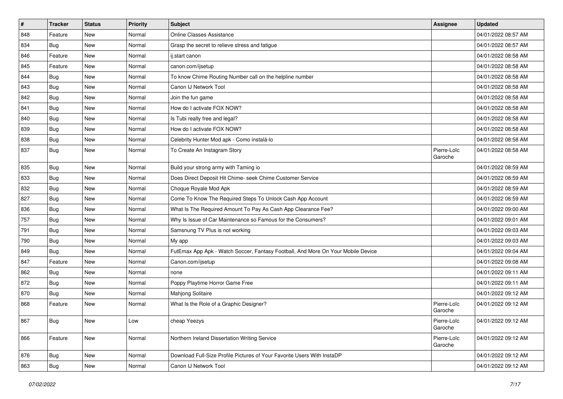| $\vert$ # | <b>Tracker</b> | <b>Status</b> | <b>Priority</b> | <b>Subject</b>                                                                   | <b>Assignee</b>        | <b>Updated</b>      |
|-----------|----------------|---------------|-----------------|----------------------------------------------------------------------------------|------------------------|---------------------|
| 848       | Feature        | <b>New</b>    | Normal          | Online Classes Assistance                                                        |                        | 04/01/2022 08:57 AM |
| 834       | Bug            | <b>New</b>    | Normal          | Grasp the secret to relieve stress and fatigue                                   |                        | 04/01/2022 08:57 AM |
| 846       | Feature        | <b>New</b>    | Normal          | ij.start canon                                                                   |                        | 04/01/2022 08:58 AM |
| 845       | Feature        | <b>New</b>    | Normal          | canon.com/ijsetup                                                                |                        | 04/01/2022 08:58 AM |
| 844       | Bug            | <b>New</b>    | Normal          | To know Chime Routing Number call on the helpline number                         |                        | 04/01/2022 08:58 AM |
| 843       | Bug            | <b>New</b>    | Normal          | Canon IJ Network Tool                                                            |                        | 04/01/2022 08:58 AM |
| 842       | Bug            | <b>New</b>    | Normal          | Join the fun game                                                                |                        | 04/01/2022 08:58 AM |
| 841       | Bug            | <b>New</b>    | Normal          | How do I activate FOX NOW?                                                       |                        | 04/01/2022 08:58 AM |
| 840       | Bug            | <b>New</b>    | Normal          | Is Tubi really free and legal?                                                   |                        | 04/01/2022 08:58 AM |
| 839       | Bug            | <b>New</b>    | Normal          | How do I activate FOX NOW?                                                       |                        | 04/01/2022 08:58 AM |
| 838       | Bug            | <b>New</b>    | Normal          | Celebrity Hunter Mod apk - Como instalá-lo                                       |                        | 04/01/2022 08:58 AM |
| 837       | Bug            | <b>New</b>    | Normal          | To Create An Instagram Story                                                     | Pierre-Loïc<br>Garoche | 04/01/2022 08:58 AM |
| 835       | Bug            | <b>New</b>    | Normal          | Build your strong army with Taming io                                            |                        | 04/01/2022 08:59 AM |
| 833       | Bug            | <b>New</b>    | Normal          | Does Direct Deposit Hit Chime- seek Chime Customer Service                       |                        | 04/01/2022 08:59 AM |
| 832       | Bug            | <b>New</b>    | Normal          | Choque Royale Mod Apk                                                            |                        | 04/01/2022 08:59 AM |
| 827       | Bug            | <b>New</b>    | Normal          | Come To Know The Required Steps To Unlock Cash App Account                       |                        | 04/01/2022 08:59 AM |
| 836       | Bug            | <b>New</b>    | Normal          | What Is The Required Amount To Pay As Cash App Clearance Fee?                    |                        | 04/01/2022 09:00 AM |
| 757       | Bug            | <b>New</b>    | Normal          | Why Is Issue of Car Maintenance so Famous for the Consumers?                     |                        | 04/01/2022 09:01 AM |
| 791       | Bug            | <b>New</b>    | Normal          | Samsnung TV Plus is not working                                                  |                        | 04/01/2022 09:03 AM |
| 790       | Bug            | New           | Normal          | My app                                                                           |                        | 04/01/2022 09:03 AM |
| 849       | <b>Bug</b>     | <b>New</b>    | Normal          | FutEmax App Apk - Watch Soccer, Fantasy Football, And More On Your Mobile Device |                        | 04/01/2022 09:04 AM |
| 847       | Feature        | <b>New</b>    | Normal          | Canon.com/ijsetup                                                                |                        | 04/01/2022 09:08 AM |
| 862       | Bug            | <b>New</b>    | Normal          | none                                                                             |                        | 04/01/2022 09:11 AM |
| 872       | Bug            | <b>New</b>    | Normal          | Poppy Playtime Horror Game Free                                                  |                        | 04/01/2022 09:11 AM |
| 870       | <b>Bug</b>     | <b>New</b>    | Normal          | Mahjong Solitaire                                                                |                        | 04/01/2022 09:12 AM |
| 868       | Feature        | <b>New</b>    | Normal          | What Is the Role of a Graphic Designer?                                          | Pierre-Loïc<br>Garoche | 04/01/2022 09:12 AM |
| 867       | <b>Bug</b>     | New           | Low             | cheap Yeezys                                                                     | Pierre-Loïc<br>Garoche | 04/01/2022 09:12 AM |
| 866       | Feature        | New           | Normal          | Northern Ireland Dissertation Writing Service                                    | Pierre-Loïc<br>Garoche | 04/01/2022 09:12 AM |
| 876       | Bug            | New           | Normal          | Download Full-Size Profile Pictures of Your Favorite Users With InstaDP          |                        | 04/01/2022 09:12 AM |
| 863       | <b>Bug</b>     | New           | Normal          | Canon IJ Network Tool                                                            |                        | 04/01/2022 09:12 AM |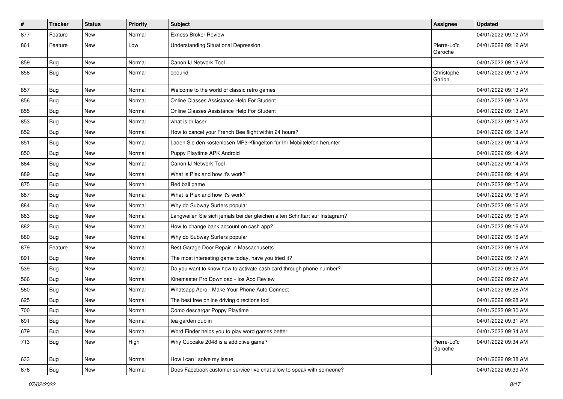| #   | <b>Tracker</b> | <b>Status</b> | <b>Priority</b> | <b>Subject</b>                                                              | Assignee               | <b>Updated</b>      |
|-----|----------------|---------------|-----------------|-----------------------------------------------------------------------------|------------------------|---------------------|
| 877 | Feature        | <b>New</b>    | Normal          | Exness Broker Review                                                        |                        | 04/01/2022 09:12 AM |
| 861 | Feature        | <b>New</b>    | Low             | <b>Understanding Situational Depression</b>                                 | Pierre-Loïc<br>Garoche | 04/01/2022 09:12 AM |
| 859 | Bug            | <b>New</b>    | Normal          | Canon IJ Network Tool                                                       |                        | 04/01/2022 09:13 AM |
| 858 | Bug            | <b>New</b>    | Normal          | opourid                                                                     | Christophe<br>Garion   | 04/01/2022 09:13 AM |
| 857 | Bug            | <b>New</b>    | Normal          | Welcome to the world of classic retro games                                 |                        | 04/01/2022 09:13 AM |
| 856 | Bug            | <b>New</b>    | Normal          | Online Classes Assistance Help For Student                                  |                        | 04/01/2022 09:13 AM |
| 855 | Bug            | <b>New</b>    | Normal          | Online Classes Assistance Help For Student                                  |                        | 04/01/2022 09:13 AM |
| 853 | Bug            | <b>New</b>    | Normal          | what is dr laser                                                            |                        | 04/01/2022 09:13 AM |
| 852 | Bug            | <b>New</b>    | Normal          | How to cancel your French Bee flight within 24 hours?                       |                        | 04/01/2022 09:13 AM |
| 851 | Bug            | <b>New</b>    | Normal          | Laden Sie den kostenlosen MP3-Klingelton für Ihr Mobiltelefon herunter      |                        | 04/01/2022 09:14 AM |
| 850 | Bug            | <b>New</b>    | Normal          | Puppy Playtime APK Android                                                  |                        | 04/01/2022 09:14 AM |
| 864 | Bug            | <b>New</b>    | Normal          | Canon IJ Network Tool                                                       |                        | 04/01/2022 09:14 AM |
| 889 | Bug            | <b>New</b>    | Normal          | What is Plex and how it's work?                                             |                        | 04/01/2022 09:14 AM |
| 875 | Bug            | <b>New</b>    | Normal          | Red ball game                                                               |                        | 04/01/2022 09:15 AM |
| 887 | <b>Bug</b>     | <b>New</b>    | Normal          | What is Plex and how it's work?                                             |                        | 04/01/2022 09:16 AM |
| 884 | Bug            | <b>New</b>    | Normal          | Why do Subway Surfers popular                                               |                        | 04/01/2022 09:16 AM |
| 883 | Bug            | <b>New</b>    | Normal          | Langweilen Sie sich jemals bei der gleichen alten Schriftart auf Instagram? |                        | 04/01/2022 09:16 AM |
| 882 | Bug            | <b>New</b>    | Normal          | How to change bank account on cash app?                                     |                        | 04/01/2022 09:16 AM |
| 880 | Bug            | <b>New</b>    | Normal          | Why do Subway Surfers popular                                               |                        | 04/01/2022 09:16 AM |
| 879 | Feature        | <b>New</b>    | Normal          | Best Garage Door Repair in Massachusetts                                    |                        | 04/01/2022 09:16 AM |
| 891 | Bug            | <b>New</b>    | Normal          | The most interesting game today, have you tried it?                         |                        | 04/01/2022 09:17 AM |
| 539 | <b>Bug</b>     | <b>New</b>    | Normal          | Do you want to know how to activate cash card through phone number?         |                        | 04/01/2022 09:25 AM |
| 566 | Bug            | <b>New</b>    | Normal          | Kinemaster Pro Download - los App Review                                    |                        | 04/01/2022 09:27 AM |
| 560 | Bug            | <b>New</b>    | Normal          | Whatsapp Aero - Make Your Phone Auto Connect                                |                        | 04/01/2022 09:28 AM |
| 625 | Bug            | <b>New</b>    | Normal          | The best free online driving directions tool                                |                        | 04/01/2022 09:28 AM |
| 700 | <b>Bug</b>     | <b>New</b>    | Normal          | Cómo descargar Poppy Playtime                                               |                        | 04/01/2022 09:30 AM |
| 691 | <b>Bug</b>     | New           | Normal          | tea garden dublin                                                           |                        | 04/01/2022 09:31 AM |
| 679 | <b>Bug</b>     | New           | Normal          | Word Finder helps you to play word games better                             |                        | 04/01/2022 09:34 AM |
| 713 | <b>Bug</b>     | New           | High            | Why Cupcake 2048 is a addictive game?                                       | Pierre-Loïc<br>Garoche | 04/01/2022 09:34 AM |
| 633 | Bug            | New           | Normal          | How i can i solve my issue                                                  |                        | 04/01/2022 09:38 AM |
| 676 | <b>Bug</b>     | New           | Normal          | Does Facebook customer service live chat allow to speak with someone?       |                        | 04/01/2022 09:39 AM |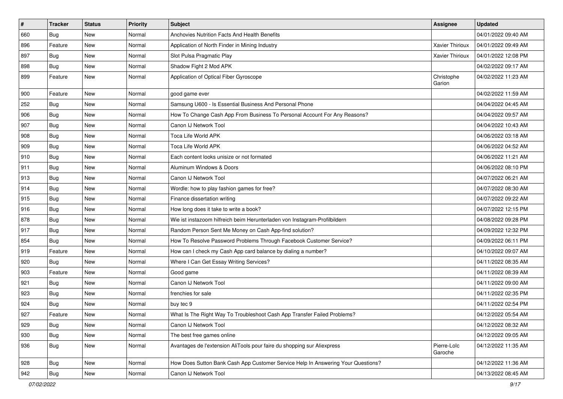| $\vert$ # | <b>Tracker</b> | <b>Status</b> | <b>Priority</b> | <b>Subject</b>                                                                   | Assignee               | <b>Updated</b>      |
|-----------|----------------|---------------|-----------------|----------------------------------------------------------------------------------|------------------------|---------------------|
| 660       | Bug            | <b>New</b>    | Normal          | Anchovies Nutrition Facts And Health Benefits                                    |                        | 04/01/2022 09:40 AM |
| 896       | Feature        | <b>New</b>    | Normal          | Application of North Finder in Mining Industry                                   | Xavier Thirioux        | 04/01/2022 09:49 AM |
| 897       | Bug            | New           | Normal          | Slot Pulsa Pragmatic Play                                                        | <b>Xavier Thirioux</b> | 04/01/2022 12:08 PM |
| 898       | Bug            | <b>New</b>    | Normal          | Shadow Fight 2 Mod APK                                                           |                        | 04/02/2022 09:17 AM |
| 899       | Feature        | <b>New</b>    | Normal          | Application of Optical Fiber Gyroscope                                           | Christophe<br>Garion   | 04/02/2022 11:23 AM |
| 900       | Feature        | <b>New</b>    | Normal          | good game ever                                                                   |                        | 04/02/2022 11:59 AM |
| 252       | Bug            | <b>New</b>    | Normal          | Samsung U600 - Is Essential Business And Personal Phone                          |                        | 04/04/2022 04:45 AM |
| 906       | Bug            | <b>New</b>    | Normal          | How To Change Cash App From Business To Personal Account For Any Reasons?        |                        | 04/04/2022 09:57 AM |
| 907       | Bug            | <b>New</b>    | Normal          | Canon IJ Network Tool                                                            |                        | 04/04/2022 10:43 AM |
| 908       | Bug            | New           | Normal          | Toca Life World APK                                                              |                        | 04/06/2022 03:18 AM |
| 909       | Bug            | <b>New</b>    | Normal          | Toca Life World APK                                                              |                        | 04/06/2022 04:52 AM |
| 910       | Bug            | <b>New</b>    | Normal          | Each content looks unisize or not formated                                       |                        | 04/06/2022 11:21 AM |
| 911       | Bug            | <b>New</b>    | Normal          | Aluminum Windows & Doors                                                         |                        | 04/06/2022 08:10 PM |
| 913       | Bug            | <b>New</b>    | Normal          | Canon IJ Network Tool                                                            |                        | 04/07/2022 06:21 AM |
| 914       | Bug            | <b>New</b>    | Normal          | Wordle: how to play fashion games for free?                                      |                        | 04/07/2022 08:30 AM |
| 915       | Bug            | <b>New</b>    | Normal          | Finance dissertation writing                                                     |                        | 04/07/2022 09:22 AM |
| 916       | Bug            | <b>New</b>    | Normal          | How long does it take to write a book?                                           |                        | 04/07/2022 12:15 PM |
| 878       | <b>Bug</b>     | <b>New</b>    | Normal          | Wie ist instazoom hilfreich beim Herunterladen von Instagram-Profilbildern       |                        | 04/08/2022 09:28 PM |
| 917       | Bug            | <b>New</b>    | Normal          | Random Person Sent Me Money on Cash App-find solution?                           |                        | 04/09/2022 12:32 PM |
| 854       | Bug            | New           | Normal          | How To Resolve Password Problems Through Facebook Customer Service?              |                        | 04/09/2022 06:11 PM |
| 919       | Feature        | <b>New</b>    | Normal          | How can I check my Cash App card balance by dialing a number?                    |                        | 04/10/2022 09:07 AM |
| 920       | Bug            | <b>New</b>    | Normal          | Where I Can Get Essay Writing Services?                                          |                        | 04/11/2022 08:35 AM |
| 903       | Feature        | <b>New</b>    | Normal          | Good game                                                                        |                        | 04/11/2022 08:39 AM |
| 921       | Bug            | <b>New</b>    | Normal          | Canon IJ Network Tool                                                            |                        | 04/11/2022 09:00 AM |
| 923       | Bug            | <b>New</b>    | Normal          | frenchies for sale                                                               |                        | 04/11/2022 02:35 PM |
| 924       | Bug            | <b>New</b>    | Normal          | buy tec 9                                                                        |                        | 04/11/2022 02:54 PM |
| 927       | Feature        | <b>New</b>    | Normal          | What Is The Right Way To Troubleshoot Cash App Transfer Failed Problems?         |                        | 04/12/2022 05:54 AM |
| 929       | <b>Bug</b>     | New           | Normal          | Canon IJ Network Tool                                                            |                        | 04/12/2022 08:32 AM |
| 930       | Bug            | New           | Normal          | The best free games online                                                       |                        | 04/12/2022 09:05 AM |
| 936       | <b>Bug</b>     | New           | Normal          | Avantages de l'extension AliTools pour faire du shopping sur Aliexpress          | Pierre-Loïc<br>Garoche | 04/12/2022 11:35 AM |
| 928       | Bug            | New           | Normal          | How Does Sutton Bank Cash App Customer Service Help In Answering Your Questions? |                        | 04/12/2022 11:36 AM |
| 942       | <b>Bug</b>     | New           | Normal          | Canon IJ Network Tool                                                            |                        | 04/13/2022 08:45 AM |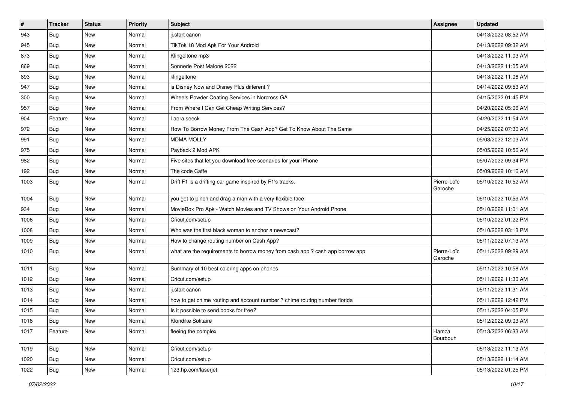| $\sharp$ | <b>Tracker</b> | <b>Status</b> | <b>Priority</b> | <b>Subject</b>                                                                | Assignee               | <b>Updated</b>      |
|----------|----------------|---------------|-----------------|-------------------------------------------------------------------------------|------------------------|---------------------|
| 943      | <b>Bug</b>     | New           | Normal          | ij.start canon                                                                |                        | 04/13/2022 08:52 AM |
| 945      | <b>Bug</b>     | <b>New</b>    | Normal          | TikTok 18 Mod Apk For Your Android                                            |                        | 04/13/2022 09:32 AM |
| 873      | <b>Bug</b>     | New           | Normal          | Klingeltöne mp3                                                               |                        | 04/13/2022 11:03 AM |
| 869      | Bug            | New           | Normal          | Sonnerie Post Malone 2022                                                     |                        | 04/13/2022 11:05 AM |
| 893      | <b>Bug</b>     | <b>New</b>    | Normal          | klingeltone                                                                   |                        | 04/13/2022 11:06 AM |
| 947      | <b>Bug</b>     | New           | Normal          | is Disney Now and Disney Plus different?                                      |                        | 04/14/2022 09:53 AM |
| 300      | Bug            | <b>New</b>    | Normal          | Wheels Powder Coating Services in Norcross GA                                 |                        | 04/15/2022 01:45 PM |
| 957      | <b>Bug</b>     | New           | Normal          | From Where I Can Get Cheap Writing Services?                                  |                        | 04/20/2022 05:06 AM |
| 904      | Feature        | New           | Normal          | Laora seeck                                                                   |                        | 04/20/2022 11:54 AM |
| 972      | <b>Bug</b>     | <b>New</b>    | Normal          | How To Borrow Money From The Cash App? Get To Know About The Same             |                        | 04/25/2022 07:30 AM |
| 991      | <b>Bug</b>     | New           | Normal          | <b>MDMA MOLLY</b>                                                             |                        | 05/03/2022 12:03 AM |
| 975      | Bug            | New           | Normal          | Payback 2 Mod APK                                                             |                        | 05/05/2022 10:56 AM |
| 982      | <b>Bug</b>     | New           | Normal          | Five sites that let you download free scenarios for your iPhone               |                        | 05/07/2022 09:34 PM |
| 192      | Bug            | New           | Normal          | The code Caffe                                                                |                        | 05/09/2022 10:16 AM |
| 1003     | Bug            | <b>New</b>    | Normal          | Drift F1 is a drifting car game inspired by F1's tracks.                      | Pierre-Loïc<br>Garoche | 05/10/2022 10:52 AM |
| 1004     | Bug            | <b>New</b>    | Normal          | you get to pinch and drag a man with a very flexible face                     |                        | 05/10/2022 10:59 AM |
| 934      | <b>Bug</b>     | <b>New</b>    | Normal          | MovieBox Pro Apk - Watch Movies and TV Shows on Your Android Phone            |                        | 05/10/2022 11:01 AM |
| 1006     | <b>Bug</b>     | <b>New</b>    | Normal          | Cricut.com/setup                                                              |                        | 05/10/2022 01:22 PM |
| 1008     | <b>Bug</b>     | <b>New</b>    | Normal          | Who was the first black woman to anchor a newscast?                           |                        | 05/10/2022 03:13 PM |
| 1009     | <b>Bug</b>     | New           | Normal          | How to change routing number on Cash App?                                     |                        | 05/11/2022 07:13 AM |
| 1010     | <b>Bug</b>     | New           | Normal          | what are the requirements to borrow money from cash app ? cash app borrow app | Pierre-Loïc<br>Garoche | 05/11/2022 09:29 AM |
| 1011     | Bug            | <b>New</b>    | Normal          | Summary of 10 best coloring apps on phones                                    |                        | 05/11/2022 10:58 AM |
| 1012     | <b>Bug</b>     | New           | Normal          | Cricut.com/setup                                                              |                        | 05/11/2022 11:30 AM |
| 1013     | <b>Bug</b>     | <b>New</b>    | Normal          | ij.start canon                                                                |                        | 05/11/2022 11:31 AM |
| 1014     | <b>Bug</b>     | <b>New</b>    | Normal          | how to get chime routing and account number ? chime routing number florida    |                        | 05/11/2022 12:42 PM |
| 1015     | <b>Bug</b>     | <b>New</b>    | Normal          | Is it possible to send books for free?                                        |                        | 05/11/2022 04:05 PM |
| 1016     | Bug            | New           | Normal          | Klondike Solitaire                                                            |                        | 05/12/2022 09:03 AM |
| 1017     | Feature        | New           | Normal          | fleeing the complex                                                           | Hamza<br>Bourbouh      | 05/13/2022 06:33 AM |
| 1019     | Bug            | <b>New</b>    | Normal          | Cricut.com/setup                                                              |                        | 05/13/2022 11:13 AM |
| 1020     | <b>Bug</b>     | New           | Normal          | Cricut.com/setup                                                              |                        | 05/13/2022 11:14 AM |
| 1022     | <b>Bug</b>     | New           | Normal          | 123.hp.com/laserjet                                                           |                        | 05/13/2022 01:25 PM |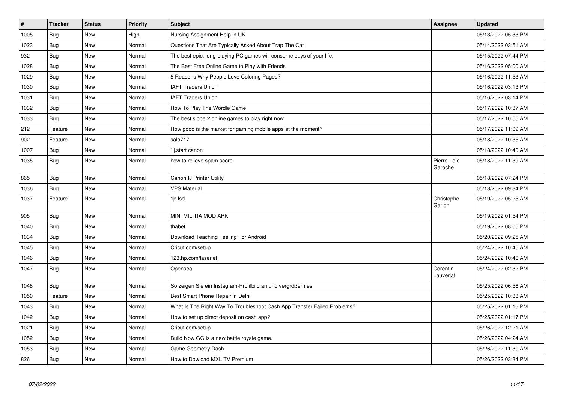| $\vert$ # | <b>Tracker</b> | <b>Status</b> | <b>Priority</b> | <b>Subject</b>                                                           | <b>Assignee</b>        | <b>Updated</b>      |
|-----------|----------------|---------------|-----------------|--------------------------------------------------------------------------|------------------------|---------------------|
| 1005      | Bug            | New           | High            | Nursing Assignment Help in UK                                            |                        | 05/13/2022 05:33 PM |
| 1023      | Bug            | <b>New</b>    | Normal          | Questions That Are Typically Asked About Trap The Cat                    |                        | 05/14/2022 03:51 AM |
| 932       | Bug            | <b>New</b>    | Normal          | The best epic, long-playing PC games will consume days of your life.     |                        | 05/15/2022 07:44 PM |
| 1028      | Bug            | <b>New</b>    | Normal          | The Best Free Online Game to Play with Friends                           |                        | 05/16/2022 05:00 AM |
| 1029      | Bug            | <b>New</b>    | Normal          | 5 Reasons Why People Love Coloring Pages?                                |                        | 05/16/2022 11:53 AM |
| 1030      | Bug            | <b>New</b>    | Normal          | <b>IAFT Traders Union</b>                                                |                        | 05/16/2022 03:13 PM |
| 1031      | <b>Bug</b>     | <b>New</b>    | Normal          | <b>IAFT Traders Union</b>                                                |                        | 05/16/2022 03:14 PM |
| 1032      | Bug            | <b>New</b>    | Normal          | How To Play The Wordle Game                                              |                        | 05/17/2022 10:37 AM |
| 1033      | <b>Bug</b>     | <b>New</b>    | Normal          | The best slope 2 online games to play right now                          |                        | 05/17/2022 10:55 AM |
| 212       | Feature        | <b>New</b>    | Normal          | How good is the market for gaming mobile apps at the moment?             |                        | 05/17/2022 11:09 AM |
| 902       | Feature        | <b>New</b>    | Normal          | salo717                                                                  |                        | 05/18/2022 10:35 AM |
| 1007      | Bug            | <b>New</b>    | Normal          | "ij.start canon                                                          |                        | 05/18/2022 10:40 AM |
| 1035      | Bug            | <b>New</b>    | Normal          | how to relieve spam score                                                | Pierre-Loïc<br>Garoche | 05/18/2022 11:39 AM |
| 865       | Bug            | <b>New</b>    | Normal          | Canon IJ Printer Utility                                                 |                        | 05/18/2022 07:24 PM |
| 1036      | <b>Bug</b>     | <b>New</b>    | Normal          | <b>VPS Material</b>                                                      |                        | 05/18/2022 09:34 PM |
| 1037      | Feature        | <b>New</b>    | Normal          | 1p Isd                                                                   | Christophe<br>Garion   | 05/19/2022 05:25 AM |
| 905       | Bug            | <b>New</b>    | Normal          | MINI MILITIA MOD APK                                                     |                        | 05/19/2022 01:54 PM |
| 1040      | Bug            | <b>New</b>    | Normal          | thabet                                                                   |                        | 05/19/2022 08:05 PM |
| 1034      | Bug            | <b>New</b>    | Normal          | Download Teaching Feeling For Android                                    |                        | 05/20/2022 09:25 AM |
| 1045      | Bug            | <b>New</b>    | Normal          | Cricut.com/setup                                                         |                        | 05/24/2022 10:45 AM |
| 1046      | Bug            | <b>New</b>    | Normal          | 123.hp.com/laserjet                                                      |                        | 05/24/2022 10:46 AM |
| 1047      | <b>Bug</b>     | <b>New</b>    | Normal          | Opensea                                                                  | Corentin<br>Lauverjat  | 05/24/2022 02:32 PM |
| 1048      | Bug            | <b>New</b>    | Normal          | So zeigen Sie ein Instagram-Profilbild an und vergrößern es              |                        | 05/25/2022 06:56 AM |
| 1050      | Feature        | <b>New</b>    | Normal          | Best Smart Phone Repair in Delhi                                         |                        | 05/25/2022 10:33 AM |
| 1043      | <b>Bug</b>     | <b>New</b>    | Normal          | What Is The Right Way To Troubleshoot Cash App Transfer Failed Problems? |                        | 05/25/2022 01:16 PM |
| 1042      | Bug            | <b>New</b>    | Normal          | How to set up direct deposit on cash app?                                |                        | 05/25/2022 01:17 PM |
| 1021      | <b>Bug</b>     | <b>New</b>    | Normal          | Cricut.com/setup                                                         |                        | 05/26/2022 12:21 AM |
| 1052      | Bug            | <b>New</b>    | Normal          | Build Now GG is a new battle royale game.                                |                        | 05/26/2022 04:24 AM |
| 1053      | <b>Bug</b>     | <b>New</b>    | Normal          | Game Geometry Dash                                                       |                        | 05/26/2022 11:30 AM |
| 826       | <b>Bug</b>     | <b>New</b>    | Normal          | How to Dowload MXL TV Premium                                            |                        | 05/26/2022 03:34 PM |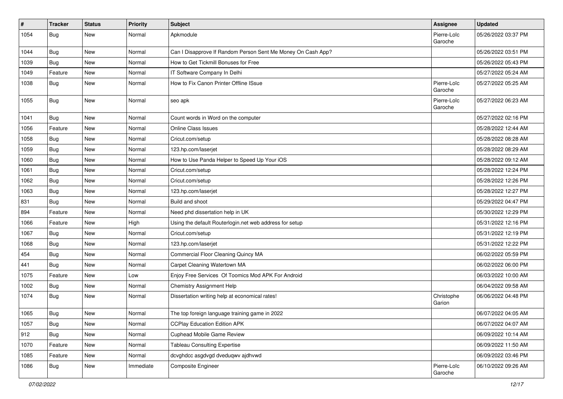| $\sharp$ | <b>Tracker</b> | <b>Status</b> | Priority  | <b>Subject</b>                                               | Assignee               | <b>Updated</b>      |
|----------|----------------|---------------|-----------|--------------------------------------------------------------|------------------------|---------------------|
| 1054     | Bug            | New           | Normal    | Apkmodule                                                    | Pierre-Loïc<br>Garoche | 05/26/2022 03:37 PM |
| 1044     | Bug            | <b>New</b>    | Normal    | Can I Disapprove If Random Person Sent Me Money On Cash App? |                        | 05/26/2022 03:51 PM |
| 1039     | Bug            | New           | Normal    | How to Get Tickmill Bonuses for Free                         |                        | 05/26/2022 05:43 PM |
| 1049     | Feature        | New           | Normal    | IT Software Company In Delhi                                 |                        | 05/27/2022 05:24 AM |
| 1038     | <b>Bug</b>     | New           | Normal    | How to Fix Canon Printer Offline ISsue                       | Pierre-Loïc<br>Garoche | 05/27/2022 05:25 AM |
| 1055     | <b>Bug</b>     | New           | Normal    | seo apk                                                      | Pierre-Loïc<br>Garoche | 05/27/2022 06:23 AM |
| 1041     | Bug            | New           | Normal    | Count words in Word on the computer                          |                        | 05/27/2022 02:16 PM |
| 1056     | Feature        | <b>New</b>    | Normal    | <b>Online Class Issues</b>                                   |                        | 05/28/2022 12:44 AM |
| 1058     | Bug            | New           | Normal    | Cricut.com/setup                                             |                        | 05/28/2022 08:28 AM |
| 1059     | Bug            | New           | Normal    | 123.hp.com/laserjet                                          |                        | 05/28/2022 08:29 AM |
| 1060     | Bug            | New           | Normal    | How to Use Panda Helper to Speed Up Your iOS                 |                        | 05/28/2022 09:12 AM |
| 1061     | Bug            | New           | Normal    | Cricut.com/setup                                             |                        | 05/28/2022 12:24 PM |
| 1062     | Bug            | <b>New</b>    | Normal    | Cricut.com/setup                                             |                        | 05/28/2022 12:26 PM |
| 1063     | Bug            | New           | Normal    | 123.hp.com/laserjet                                          |                        | 05/28/2022 12:27 PM |
| 831      | Bug            | <b>New</b>    | Normal    | Build and shoot                                              |                        | 05/29/2022 04:47 PM |
| 894      | Feature        | <b>New</b>    | Normal    | Need phd dissertation help in UK                             |                        | 05/30/2022 12:29 PM |
| 1066     | Feature        | <b>New</b>    | High      | Using the default Routerlogin.net web address for setup      |                        | 05/31/2022 12:16 PM |
| 1067     | Bug            | New           | Normal    | Cricut.com/setup                                             |                        | 05/31/2022 12:19 PM |
| 1068     | <b>Bug</b>     | New           | Normal    | 123.hp.com/laserjet                                          |                        | 05/31/2022 12:22 PM |
| 454      | Bug            | <b>New</b>    | Normal    | Commercial Floor Cleaning Quincy MA                          |                        | 06/02/2022 05:59 PM |
| 441      | Bug            | <b>New</b>    | Normal    | Carpet Cleaning Watertown MA                                 |                        | 06/02/2022 06:00 PM |
| 1075     | Feature        | New           | Low       | Enjoy Free Services Of Toomics Mod APK For Android           |                        | 06/03/2022 10:00 AM |
| 1002     | Bug            | New           | Normal    | <b>Chemistry Assignment Help</b>                             |                        | 06/04/2022 09:58 AM |
| 1074     | Bug            | New           | Normal    | Dissertation writing help at economical rates!               | Christophe<br>Garion   | 06/06/2022 04:48 PM |
| 1065     | <b>Bug</b>     | New           | Normal    | The top foreign language training game in 2022               |                        | 06/07/2022 04:05 AM |
| 1057     | <b>Bug</b>     | New           | Normal    | <b>CCPlay Education Edition APK</b>                          |                        | 06/07/2022 04:07 AM |
| 912      | Bug            | New           | Normal    | <b>Cuphead Mobile Game Review</b>                            |                        | 06/09/2022 10:14 AM |
| 1070     | Feature        | New           | Normal    | <b>Tableau Consulting Expertise</b>                          |                        | 06/09/2022 11:50 AM |
| 1085     | Feature        | New           | Normal    | dcvghdcc asgdvgd dveduqwv ajdhvwd                            |                        | 06/09/2022 03:46 PM |
| 1086     | <b>Bug</b>     | New           | Immediate | Composite Engineer                                           | Pierre-Loïc<br>Garoche | 06/10/2022 09:26 AM |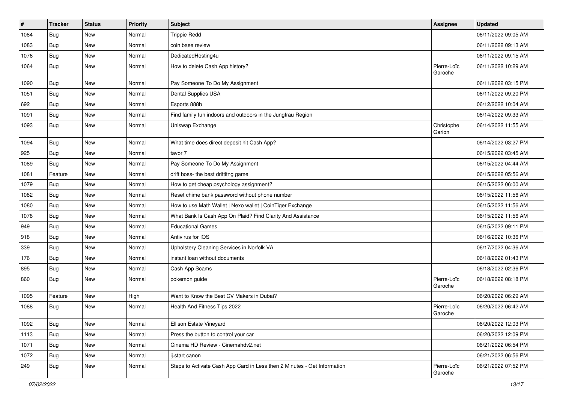| $\vert$ # | <b>Tracker</b> | <b>Status</b> | <b>Priority</b> | <b>Subject</b>                                                           | Assignee               | <b>Updated</b>      |
|-----------|----------------|---------------|-----------------|--------------------------------------------------------------------------|------------------------|---------------------|
| 1084      | <b>Bug</b>     | New           | Normal          | <b>Trippie Redd</b>                                                      |                        | 06/11/2022 09:05 AM |
| 1083      | Bug            | New           | Normal          | coin base review                                                         |                        | 06/11/2022 09:13 AM |
| 1076      | Bug            | New           | Normal          | DedicatedHosting4u                                                       |                        | 06/11/2022 09:15 AM |
| 1064      | Bug            | New           | Normal          | How to delete Cash App history?                                          | Pierre-Loïc<br>Garoche | 06/11/2022 10:29 AM |
| 1090      | <b>Bug</b>     | New           | Normal          | Pay Someone To Do My Assignment                                          |                        | 06/11/2022 03:15 PM |
| 1051      | <b>Bug</b>     | New           | Normal          | Dental Supplies USA                                                      |                        | 06/11/2022 09:20 PM |
| 692       | Bug            | <b>New</b>    | Normal          | Esports 888b                                                             |                        | 06/12/2022 10:04 AM |
| 1091      | Bug            | New           | Normal          | Find family fun indoors and outdoors in the Jungfrau Region              |                        | 06/14/2022 09:33 AM |
| 1093      | Bug            | New           | Normal          | Uniswap Exchange                                                         | Christophe<br>Garion   | 06/14/2022 11:55 AM |
| 1094      | Bug            | <b>New</b>    | Normal          | What time does direct deposit hit Cash App?                              |                        | 06/14/2022 03:27 PM |
| 925       | Bug            | New           | Normal          | tavor 7                                                                  |                        | 06/15/2022 03:45 AM |
| 1089      | Bug            | New           | Normal          | Pay Someone To Do My Assignment                                          |                        | 06/15/2022 04:44 AM |
| 1081      | Feature        | New           | Normal          | drift boss- the best driftitng game                                      |                        | 06/15/2022 05:56 AM |
| 1079      | Bug            | <b>New</b>    | Normal          | How to get cheap psychology assignment?                                  |                        | 06/15/2022 06:00 AM |
| 1082      | Bug            | New           | Normal          | Reset chime bank password without phone number                           |                        | 06/15/2022 11:56 AM |
| 1080      | Bug            | New           | Normal          | How to use Math Wallet   Nexo wallet   CoinTiger Exchange                |                        | 06/15/2022 11:56 AM |
| 1078      | Bug            | New           | Normal          | What Bank Is Cash App On Plaid? Find Clarity And Assistance              |                        | 06/15/2022 11:56 AM |
| 949       | Bug            | New           | Normal          | <b>Educational Games</b>                                                 |                        | 06/15/2022 09:11 PM |
| 918       | Bug            | New           | Normal          | Antivirus for IOS                                                        |                        | 06/16/2022 10:36 PM |
| 339       | Bug            | New           | Normal          | Upholstery Cleaning Services in Norfolk VA                               |                        | 06/17/2022 04:36 AM |
| 176       | <b>Bug</b>     | <b>New</b>    | Normal          | instant loan without documents                                           |                        | 06/18/2022 01:43 PM |
| 895       | Bug            | New           | Normal          | Cash App Scams                                                           |                        | 06/18/2022 02:36 PM |
| 860       | Bug            | New           | Normal          | pokemon guide                                                            | Pierre-Loïc<br>Garoche | 06/18/2022 08:18 PM |
| 1095      | Feature        | New           | High            | Want to Know the Best CV Makers in Dubai?                                |                        | 06/20/2022 06:29 AM |
| 1088      | <b>Bug</b>     | New           | Normal          | Health And Fitness Tips 2022                                             | Pierre-Loïc<br>Garoche | 06/20/2022 06:42 AM |
| 1092      | <b>Bug</b>     | New           | Normal          | Ellison Estate Vineyard                                                  |                        | 06/20/2022 12:03 PM |
| 1113      | Bug            | New           | Normal          | Press the button to control your car                                     |                        | 06/20/2022 12:09 PM |
| 1071      | Bug            | New           | Normal          | Cinema HD Review - Cinemahdv2.net                                        |                        | 06/21/2022 06:54 PM |
| 1072      | Bug            | New           | Normal          | ij.start canon                                                           |                        | 06/21/2022 06:56 PM |
| 249       | <b>Bug</b>     | New           | Normal          | Steps to Activate Cash App Card in Less then 2 Minutes - Get Information | Pierre-Loïc<br>Garoche | 06/21/2022 07:52 PM |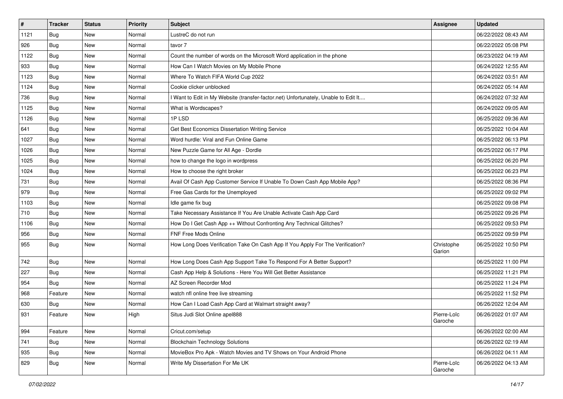| $\vert$ # | <b>Tracker</b> | <b>Status</b> | <b>Priority</b> | <b>Subject</b>                                                                      | Assignee               | <b>Updated</b>      |
|-----------|----------------|---------------|-----------------|-------------------------------------------------------------------------------------|------------------------|---------------------|
| 1121      | <b>Bug</b>     | New           | Normal          | LustreC do not run                                                                  |                        | 06/22/2022 08:43 AM |
| 926       | Bug            | New           | Normal          | tavor 7                                                                             |                        | 06/22/2022 05:08 PM |
| 1122      | Bug            | New           | Normal          | Count the number of words on the Microsoft Word application in the phone            |                        | 06/23/2022 04:19 AM |
| 933       | Bug            | New           | Normal          | How Can I Watch Movies on My Mobile Phone                                           |                        | 06/24/2022 12:55 AM |
| 1123      | Bug            | <b>New</b>    | Normal          | Where To Watch FIFA World Cup 2022                                                  |                        | 06/24/2022 03:51 AM |
| 1124      | Bug            | New           | Normal          | Cookie clicker unblocked                                                            |                        | 06/24/2022 05:14 AM |
| 736       | Bug            | New           | Normal          | I Want to Edit in My Website (transfer-factor.net) Unfortunately, Unable to Edit It |                        | 06/24/2022 07:32 AM |
| 1125      | Bug            | New           | Normal          | What is Wordscapes?                                                                 |                        | 06/24/2022 09:05 AM |
| 1126      | Bug            | New           | Normal          | 1PLSD                                                                               |                        | 06/25/2022 09:36 AM |
| 641       | Bug            | New           | Normal          | Get Best Economics Dissertation Writing Service                                     |                        | 06/25/2022 10:04 AM |
| 1027      | <b>Bug</b>     | New           | Normal          | Word hurdle: Viral and Fun Online Game                                              |                        | 06/25/2022 06:13 PM |
| 1026      | Bug            | New           | Normal          | New Puzzle Game for All Age - Dordle                                                |                        | 06/25/2022 06:17 PM |
| 1025      | Bug            | New           | Normal          | how to change the logo in wordpress                                                 |                        | 06/25/2022 06:20 PM |
| 1024      | Bug            | New           | Normal          | How to choose the right broker                                                      |                        | 06/25/2022 06:23 PM |
| 731       | Bug            | <b>New</b>    | Normal          | Avail Of Cash App Customer Service If Unable To Down Cash App Mobile App?           |                        | 06/25/2022 08:36 PM |
| 979       | Bug            | New           | Normal          | Free Gas Cards for the Unemployed                                                   |                        | 06/25/2022 09:02 PM |
| 1103      | Bug            | <b>New</b>    | Normal          | Idle game fix bug                                                                   |                        | 06/25/2022 09:08 PM |
| 710       | Bug            | New           | Normal          | Take Necessary Assistance If You Are Unable Activate Cash App Card                  |                        | 06/25/2022 09:26 PM |
| 1106      | Bug            | New           | Normal          | How Do I Get Cash App ++ Without Confronting Any Technical Glitches?                |                        | 06/25/2022 09:53 PM |
| 956       | Bug            | New           | Normal          | FNF Free Mods Online                                                                |                        | 06/25/2022 09:59 PM |
| 955       | <b>Bug</b>     | New           | Normal          | How Long Does Verification Take On Cash App If You Apply For The Verification?      | Christophe<br>Garion   | 06/25/2022 10:50 PM |
| 742       | Bug            | New           | Normal          | How Long Does Cash App Support Take To Respond For A Better Support?                |                        | 06/25/2022 11:00 PM |
| 227       | Bug            | New           | Normal          | Cash App Help & Solutions - Here You Will Get Better Assistance                     |                        | 06/25/2022 11:21 PM |
| 954       | Bug            | New           | Normal          | AZ Screen Recorder Mod                                                              |                        | 06/25/2022 11:24 PM |
| 968       | Feature        | New           | Normal          | watch nfl online free live streaming                                                |                        | 06/25/2022 11:52 PM |
| 630       | <b>Bug</b>     | New           | Normal          | How Can I Load Cash App Card at Walmart straight away?                              |                        | 06/26/2022 12:04 AM |
| 931       | Feature        | New           | High            | Situs Judi Slot Online apel888                                                      | Pierre-Loïc<br>Garoche | 06/26/2022 01:07 AM |
| 994       | Feature        | New           | Normal          | Cricut.com/setup                                                                    |                        | 06/26/2022 02:00 AM |
| 741       | Bug            | New           | Normal          | <b>Blockchain Technology Solutions</b>                                              |                        | 06/26/2022 02:19 AM |
| 935       | Bug            | New           | Normal          | MovieBox Pro Apk - Watch Movies and TV Shows on Your Android Phone                  |                        | 06/26/2022 04:11 AM |
| 829       | <b>Bug</b>     | New           | Normal          | Write My Dissertation For Me UK                                                     | Pierre-Loïc<br>Garoche | 06/26/2022 04:13 AM |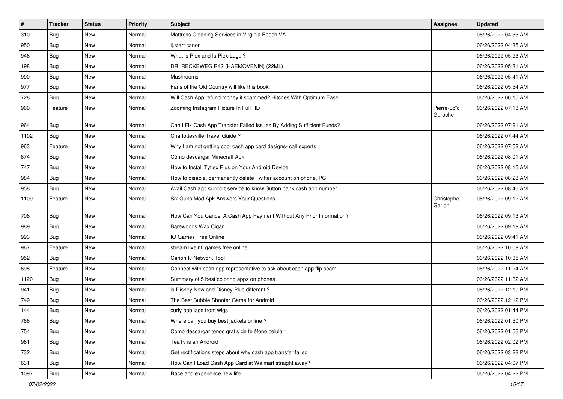| $\vert$ # | <b>Tracker</b> | <b>Status</b> | <b>Priority</b> | <b>Subject</b>                                                        | Assignee               | <b>Updated</b>      |
|-----------|----------------|---------------|-----------------|-----------------------------------------------------------------------|------------------------|---------------------|
| 310       | <b>Bug</b>     | <b>New</b>    | Normal          | Mattress Cleaning Services in Virginia Beach VA                       |                        | 06/26/2022 04:33 AM |
| 950       | Bug            | <b>New</b>    | Normal          | ij.start canon                                                        |                        | 06/26/2022 04:35 AM |
| 946       | Bug            | <b>New</b>    | Normal          | What is Plex and Is Plex Legal?                                       |                        | 06/26/2022 05:23 AM |
| 198       | <b>Bug</b>     | <b>New</b>    | Normal          | DR. RECKEWEG R42 (HAEMOVENIN) (22ML)                                  |                        | 06/26/2022 05:31 AM |
| 990       | Bug            | <b>New</b>    | Normal          | Mushrooms                                                             |                        | 06/26/2022 05:41 AM |
| 977       | Bug            | <b>New</b>    | Normal          | Fans of the Old Country will like this book.                          |                        | 06/26/2022 05:54 AM |
| 728       | <b>Bug</b>     | <b>New</b>    | Normal          | Will Cash App refund money if scammed? Hitches With Optimum Ease      |                        | 06/26/2022 06:15 AM |
| 960       | Feature        | <b>New</b>    | Normal          | Zooming Instagram Picture In Full HD                                  | Pierre-Loïc<br>Garoche | 06/26/2022 07:18 AM |
| 964       | Bug            | <b>New</b>    | Normal          | Can I Fix Cash App Transfer Failed Issues By Adding Sufficient Funds? |                        | 06/26/2022 07:21 AM |
| 1102      | Bug            | <b>New</b>    | Normal          | Charlottesville Travel Guide?                                         |                        | 06/26/2022 07:44 AM |
| 963       | Feature        | <b>New</b>    | Normal          | Why I am not getting cool cash app card designs- call experts         |                        | 06/26/2022 07:52 AM |
| 874       | Bug            | <b>New</b>    | Normal          | Cómo descargar Minecraft Apk                                          |                        | 06/26/2022 08:01 AM |
| 747       | Bug            | <b>New</b>    | Normal          | How to Install Tyflex Plus on Your Android Device                     |                        | 06/26/2022 08:16 AM |
| 984       | Bug            | <b>New</b>    | Normal          | How to disable, permanently delete Twitter account on phone, PC       |                        | 06/26/2022 08:28 AM |
| 958       | Bug            | <b>New</b>    | Normal          | Avail Cash app support service to know Sutton bank cash app number    |                        | 06/26/2022 08:46 AM |
| 1109      | Feature        | <b>New</b>    | Normal          | Six Guns Mod Apk Answers Your Questions                               | Christophe<br>Garion   | 06/26/2022 09:12 AM |
| 706       | Bug            | New           | Normal          | How Can You Cancel A Cash App Payment Without Any Prior Information?  |                        | 06/26/2022 09:13 AM |
| 989       | <b>Bug</b>     | <b>New</b>    | Normal          | Barewoods Wax Cigar                                                   |                        | 06/26/2022 09:19 AM |
| 993       | Bug            | <b>New</b>    | Normal          | IO Games Free Online                                                  |                        | 06/26/2022 09:41 AM |
| 967       | Feature        | <b>New</b>    | Normal          | stream live nfl games free online                                     |                        | 06/26/2022 10:09 AM |
| 952       | <b>Bug</b>     | New           | Normal          | Canon IJ Network Tool                                                 |                        | 06/26/2022 10:35 AM |
| 698       | Feature        | New           | Normal          | Connect with cash app representative to ask about cash app flip scam  |                        | 06/26/2022 11:24 AM |
| 1120      | <b>Bug</b>     | <b>New</b>    | Normal          | Summary of 5 best coloring apps on phones                             |                        | 06/26/2022 11:32 AM |
| 941       | Bug            | <b>New</b>    | Normal          | is Disney Now and Disney Plus different?                              |                        | 06/26/2022 12:10 PM |
| 749       | <b>Bug</b>     | <b>New</b>    | Normal          | The Best Bubble Shooter Game for Android                              |                        | 06/26/2022 12:12 PM |
| 144       | <b>Bug</b>     | <b>New</b>    | Normal          | curly bob lace front wigs                                             |                        | 06/26/2022 01:44 PM |
| 768       | Bug            | New           | Normal          | Where can you buy best jackets online?                                |                        | 06/26/2022 01:50 PM |
| 754       | Bug            | New           | Normal          | Cómo descargar tonos gratis de teléfono celular                       |                        | 06/26/2022 01:56 PM |
| 961       | Bug            | New           | Normal          | TeaTv is an Android                                                   |                        | 06/26/2022 02:02 PM |
| 732       | <b>Bug</b>     | New           | Normal          | Get rectifications steps about why cash app transfer failed           |                        | 06/26/2022 03:28 PM |
| 631       | <b>Bug</b>     | New           | Normal          | How Can I Load Cash App Card at Walmart straight away?                |                        | 06/26/2022 04:07 PM |
| 1097      | <b>Bug</b>     | New           | Normal          | Race and experience new life.                                         |                        | 06/26/2022 04:22 PM |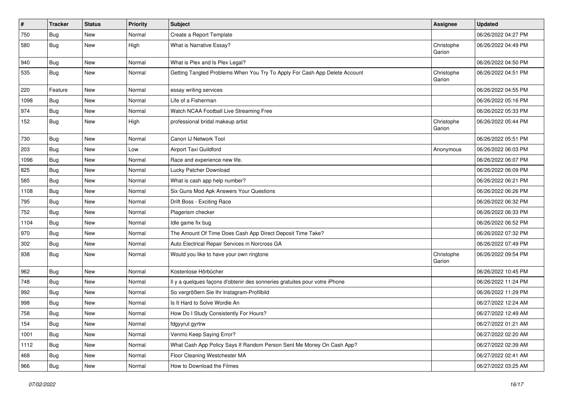| $\pmb{\#}$ | <b>Tracker</b> | <b>Status</b> | <b>Priority</b> | <b>Subject</b>                                                             | Assignee             | <b>Updated</b>      |
|------------|----------------|---------------|-----------------|----------------------------------------------------------------------------|----------------------|---------------------|
| 750        | Bug            | New           | Normal          | Create a Report Template                                                   |                      | 06/26/2022 04:27 PM |
| 580        | Bug            | <b>New</b>    | High            | What is Narrative Essay?                                                   | Christophe<br>Garion | 06/26/2022 04:49 PM |
| 940        | Bug            | <b>New</b>    | Normal          | What is Plex and Is Plex Legal?                                            |                      | 06/26/2022 04:50 PM |
| 535        | Bug            | <b>New</b>    | Normal          | Getting Tangled Problems When You Try To Apply For Cash App Delete Account | Christophe<br>Garion | 06/26/2022 04:51 PM |
| 220        | Feature        | <b>New</b>    | Normal          | essay writing services                                                     |                      | 06/26/2022 04:55 PM |
| 1098       | <b>Bug</b>     | New           | Normal          | Life of a Fisherman                                                        |                      | 06/26/2022 05:16 PM |
| 974        | Bug            | <b>New</b>    | Normal          | Watch NCAA Football Live Streaming Free                                    |                      | 06/26/2022 05:33 PM |
| 152        | Bug            | New           | High            | professional bridal makeup artist                                          | Christophe<br>Garion | 06/26/2022 05:44 PM |
| 730        | Bug            | New           | Normal          | Canon IJ Network Tool                                                      |                      | 06/26/2022 05:51 PM |
| 203        | Bug            | <b>New</b>    | Low             | Airport Taxi Guildford                                                     | Anonymous            | 06/26/2022 06:03 PM |
| 1096       | Bug            | New           | Normal          | Race and experience new life.                                              |                      | 06/26/2022 06:07 PM |
| 825        | Bug            | <b>New</b>    | Normal          | Lucky Patcher Download                                                     |                      | 06/26/2022 06:09 PM |
| 585        | Bug            | New           | Normal          | What is cash app help number?                                              |                      | 06/26/2022 06:21 PM |
| 1108       | Bug            | New           | Normal          | Six Guns Mod Apk Answers Your Questions                                    |                      | 06/26/2022 06:26 PM |
| 795        | Bug            | <b>New</b>    | Normal          | Drift Boss - Exciting Race                                                 |                      | 06/26/2022 06:32 PM |
| 752        | Bug            | New           | Normal          | Plagerism checker                                                          |                      | 06/26/2022 06:33 PM |
| 1104       | Bug            | New           | Normal          | Idle game fix bug                                                          |                      | 06/26/2022 06:52 PM |
| 970        | Bug            | <b>New</b>    | Normal          | The Amount Of Time Does Cash App Direct Deposit Time Take?                 |                      | 06/26/2022 07:32 PM |
| 302        | Bug            | <b>New</b>    | Normal          | Auto Electrical Repair Services in Norcross GA                             |                      | 06/26/2022 07:49 PM |
| 938        | Bug            | New           | Normal          | Would you like to have your own ringtone                                   | Christophe<br>Garion | 06/26/2022 09:54 PM |
| 962        | Bug            | <b>New</b>    | Normal          | Kostenlose Hörbücher                                                       |                      | 06/26/2022 10:45 PM |
| 748        | Bug            | <b>New</b>    | Normal          | Il y a quelques façons d'obtenir des sonneries gratuites pour votre iPhone |                      | 06/26/2022 11:24 PM |
| 992        | Bug            | New           | Normal          | So vergrößern Sie Ihr Instagram-Profilbild                                 |                      | 06/26/2022 11:29 PM |
| 998        | Bug            | New           | Normal          | Is It Hard to Solve Wordle An                                              |                      | 06/27/2022 12:24 AM |
| 758        | <b>Bug</b>     | New           | Normal          | How Do I Study Consistently For Hours?                                     |                      | 06/27/2022 12:49 AM |
| 154        | <b>Bug</b>     | New           | Normal          | fdgyyrut gyrtrw                                                            |                      | 06/27/2022 01:21 AM |
| 1001       | Bug            | <b>New</b>    | Normal          | Venmo Keep Saying Error?                                                   |                      | 06/27/2022 02:20 AM |
| 1112       | <b>Bug</b>     | New           | Normal          | What Cash App Policy Says If Random Person Sent Me Money On Cash App?      |                      | 06/27/2022 02:39 AM |
| 468        | <b>Bug</b>     | New           | Normal          | Floor Cleaning Westchester MA                                              |                      | 06/27/2022 02:41 AM |
| 966        | <b>Bug</b>     | New           | Normal          | How to Download the Filmes                                                 |                      | 06/27/2022 03:25 AM |